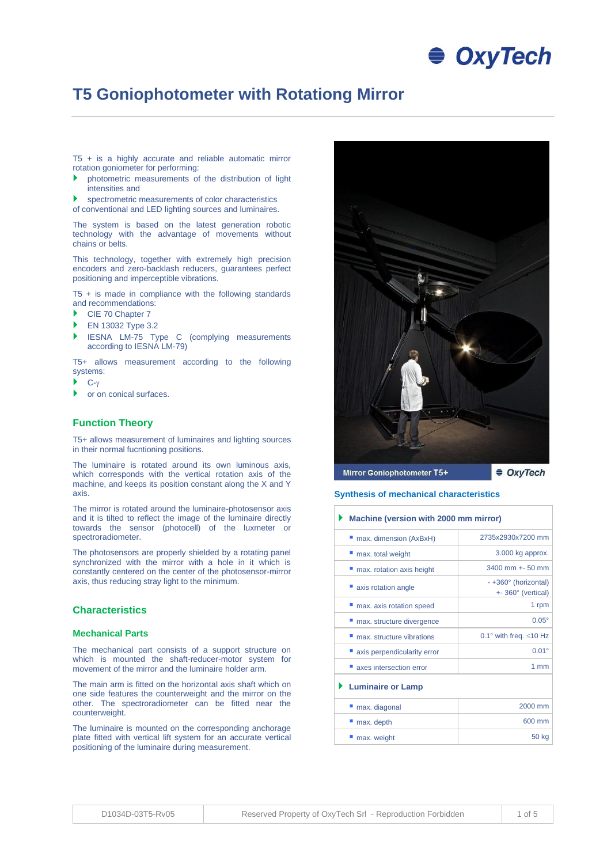# **● OxyTech**

# **T5 Goniophotometer with Rotationg Mirror**

T5 + is a highly accurate and reliable automatic mirror rotation goniometer for performing:

- photometric measurements of the distribution of light intensities and
- spectrometric measurements of color characteristics

of conventional and LED lighting sources and luminaires.

The system is based on the latest generation robotic technology with the advantage of movements without chains or belts.

This technology, together with extremely high precision encoders and zero-backlash reducers, guarantees perfect positioning and imperceptible vibrations.

T5  $+$  is made in compliance with the following standards and recommendations:

- CIE 70 Chapter 7
- EN 13032 Type 3.2
- IESNA LM-75 Type C (complying measurements according to IESNA LM-79)

T5+ allows measurement according to the following systems:

- $\blacktriangleright$  C- $\gamma$
- **b** or on conical surfaces.

#### **Function Theory**

T5+ allows measurement of luminaires and lighting sources in their normal fucntioning positions.

The luminaire is rotated around its own luminous axis, which corresponds with the vertical rotation axis of the machine, and keeps its position constant along the X and Y axis.

The mirror is rotated around the luminaire-photosensor axis and it is tilted to reflect the image of the luminaire directly towards the sensor (photocell) of the luxmeter or spectroradiometer.

The photosensors are properly shielded by a rotating panel synchronized with the mirror with a hole in it which is constantly centered on the center of the photosensor-mirror axis, thus reducing stray light to the minimum.

#### **Characteristics**

#### **Mechanical Parts**

The mechanical part consists of a support structure on which is mounted the shaft-reducer-motor system for movement of the mirror and the luminaire holder arm.

The main arm is fitted on the horizontal axis shaft which on one side features the counterweight and the mirror on the other. The spectroradiometer can be fitted near the counterweight.

The luminaire is mounted on the corresponding anchorage plate fitted with vertical lift system for an accurate vertical positioning of the luminaire during measurement.



**Synthesis of mechanical characteristics**

**Machine (version with 2000 mm mirror)**

| " max. dimension (AxBxH)    | 2735x2930x7200 mm                          |  |  |  |  |  |
|-----------------------------|--------------------------------------------|--|--|--|--|--|
| max. total weight           | 3.000 kg approx.                           |  |  |  |  |  |
| max. rotation axis height   | 3400 mm +- 50 mm                           |  |  |  |  |  |
| axis rotation angle         | - +360° (horizontal)<br>+- 360° (vertical) |  |  |  |  |  |
| " max. axis rotation speed  | 1 rpm                                      |  |  |  |  |  |
| max. structure divergence   | $0.05^\circ$                               |  |  |  |  |  |
| max. structure vibrations   | 0.1° with freq. $\leq$ 10 Hz               |  |  |  |  |  |
| axis perpendicularity error | $0.01^{\circ}$                             |  |  |  |  |  |
| axes intersection error     | $1 \text{ mm}$                             |  |  |  |  |  |
| <b>Luminaire or Lamp</b>    |                                            |  |  |  |  |  |
| max. diagonal               | 2000 mm                                    |  |  |  |  |  |
| max. depth                  | 600 mm                                     |  |  |  |  |  |
| max. weight                 | 50 kg                                      |  |  |  |  |  |
|                             |                                            |  |  |  |  |  |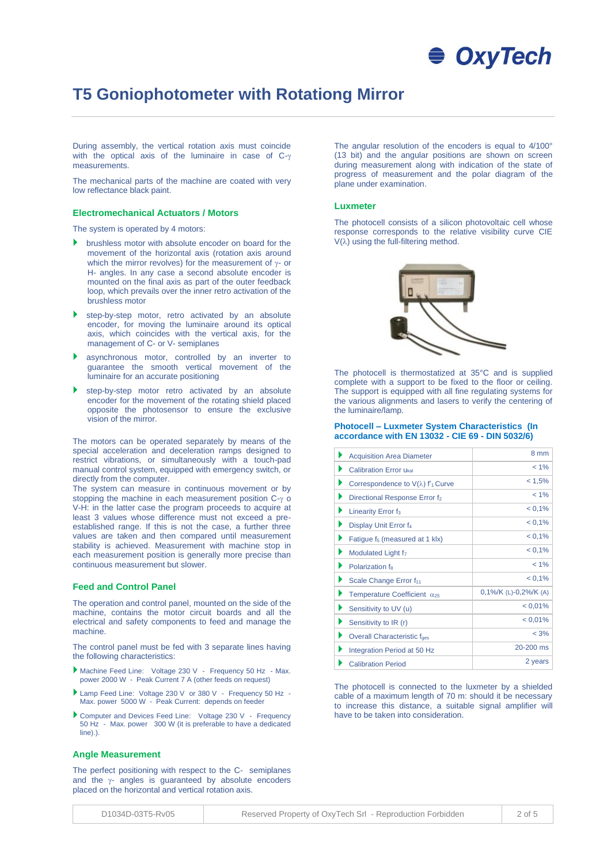# **OxyTech**

# **T5 Goniophotometer with Rotationg Mirror**

During assembly, the vertical rotation axis must coincide with the optical axis of the luminaire in case of  $C-\gamma$ measurements.

The mechanical parts of the machine are coated with very low reflectance black paint.

#### **Electromechanical Actuators / Motors**

The system is operated by 4 motors:

- **b** brushless motor with absolute encoder on board for the movement of the horizontal axis (rotation axis around which the mirror revolves) for the measurement of  $\gamma$ - or H- angles. In any case a second absolute encoder is mounted on the final axis as part of the outer feedback loop, which prevails over the inner retro activation of the brushless motor
- step-by-step motor, retro activated by an absolute encoder, for moving the luminaire around its optical axis, which coincides with the vertical axis, for the management of C- or V- semiplanes
- asynchronous motor, controlled by an inverter to guarantee the smooth vertical movement of the luminaire for an accurate positioning
- step-by-step motor retro activated by an absolute encoder for the movement of the rotating shield placed opposite the photosensor to ensure the exclusive vision of the mirror.

The motors can be operated separately by means of the special acceleration and deceleration ramps designed to restrict vibrations, or simultaneously with a touch-pad manual control system, equipped with emergency switch, or directly from the computer.

The system can measure in continuous movement or by stopping the machine in each measurement position  $C-y$  o V-H: in the latter case the program proceeds to acquire at least 3 values whose difference must not exceed a preestablished range. If this is not the case, a further three values are taken and then compared until measurement stability is achieved. Measurement with machine stop in each measurement position is generally more precise than continuous measurement but slower.

#### **Feed and Control Panel**

The operation and control panel, mounted on the side of the machine, contains the motor circuit boards and all the electrical and safety components to feed and manage the machine.

The control panel must be fed with 3 separate lines having the following characteristics:

- Machine Feed Line: Voltage 230 V Frequency 50 Hz Max. power 2000 W - Peak Current 7 A (other feeds on request)
- Lamp Feed Line: Voltage 230 V or 380 V Frequency 50 Hz Max. power 5000 W - Peak Current: depends on feeder
- Computer and Devices Feed Line: Voltage 230 V Frequency 50 Hz - Max. power 300 W (it is preferable to have a dedicated line).).

#### **Angle Measurement**

The perfect positioning with respect to the C- semiplanes and the  $\gamma$ - angles is guaranteed by absolute encoders placed on the horizontal and vertical rotation axis.

The angular resolution of the encoders is equal to 4/100° (13 bit) and the angular positions are shown on screen during measurement along with indication of the state of progress of measurement and the polar diagram of the plane under examination.

#### **Luxmeter**

The photocell consists of a silicon photovoltaic cell whose response corresponds to the relative visibility curve CIE  $V(\lambda)$  using the full-filtering method.



The photocell is thermostatized at 35°C and is supplied complete with a support to be fixed to the floor or ceiling. The support is equipped with all fine regulating systems for the various alignments and lasers to verify the centering of the luminaire/lamp.

#### **Photocell – Luxmeter System Characteristics (In accordance with EN 13032 - CIE 69 - DIN 5032/6)**

| <b>Acquisition Area Diameter</b>                | 8 mm                      |
|-------------------------------------------------|---------------------------|
| <b>Calibration Error Ukal</b>                   | $< 1\%$                   |
| ▶<br>Correspondence to $V(\lambda)$ $f_1$ Curve | < 1.5%                    |
| ▶<br>Directional Response Error f <sub>2</sub>  | $< 1\%$                   |
| ▶<br>Linearity Error f <sub>3</sub>             | $< 0.1\%$                 |
| ▶<br>Display Unit Error f <sub>4</sub>          | $< 0.1\%$                 |
| ▶<br>Fatigue f <sub>5</sub> (measured at 1 klx) | $< 0.1\%$                 |
| Þ<br>Modulated Light f <sub>7</sub>             | $< 0.1\%$                 |
| Polarization f <sub>8</sub><br>▶                | $< 1\%$                   |
| ▶<br>Scale Change Error f <sub>11</sub>         | $< 0.1\%$                 |
| Temperature Coefficient $\alpha_{25}$           | $0,1\%$ /K (L)-0,2%/K (A) |
| Sensitivity to UV (u)<br>▶                      | $< 0.01\%$                |
| ▶<br>Sensitivity to IR (r)                      | $< 0.01\%$                |
| Overall Characteristic faes                     | $< 3\%$                   |
| Integration Period at 50 Hz                     | 20-200 ms                 |
| <b>Calibration Period</b>                       | 2 years                   |

The photocell is connected to the luxmeter by a shielded cable of a maximum length of 70 m: should it be necessary to increase this distance, a suitable signal amplifier will have to be taken into consideration.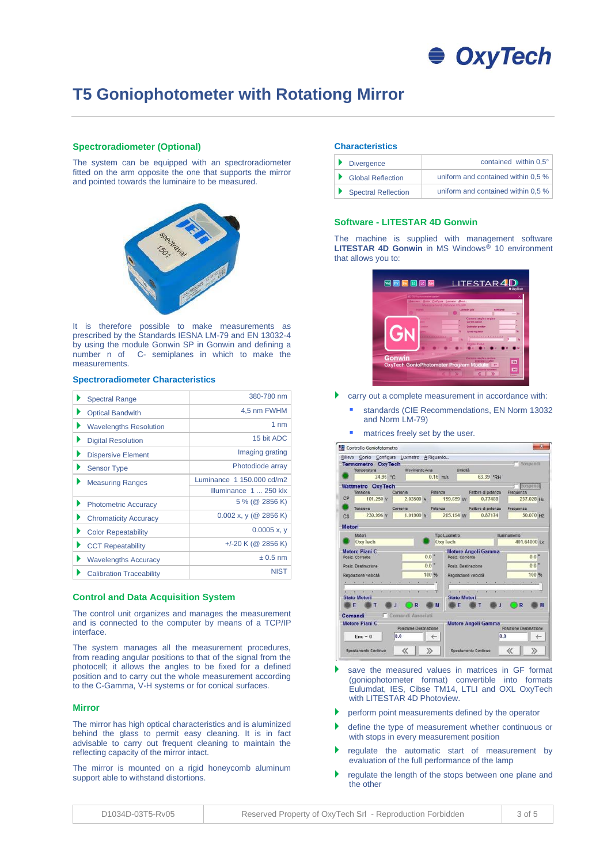

### **T5 Goniophotometer with Rotationg Mirror**

#### **Spectroradiometer (Optional)**

The system can be equipped with an spectroradiometer fitted on the arm opposite the one that supports the mirror and pointed towards the luminaire to be measured.



It is therefore possible to make measurements as prescribed by the Standards IESNA LM-79 and EN 13032-4 by using the module Gonwin SP in Gonwin and defining a number n of C- semiplanes in which to make the measurements.

#### **Spectroradiometer Characteristics**

| <b>Spectral Range</b>           | 380-780 nm                |
|---------------------------------|---------------------------|
| <b>Optical Bandwith</b>         | 4,5 nm FWHM               |
| <b>Wavelengths Resolution</b>   | 1 <sub>nm</sub>           |
| <b>Digital Resolution</b>       | 15 bit ADC                |
| <b>Dispersive Element</b>       | Imaging grating           |
| <b>Sensor Type</b>              | Photodiode array          |
| <b>Measuring Ranges</b>         | Luminance 1 150,000 cd/m2 |
|                                 | Illuminance 1  250 klx    |
| <b>Photometric Accuracy</b>     | 5 % (@ 2856 K)            |
| <b>Chromaticity Accuracy</b>    | $0.002$ x, y (@ 2856 K)   |
| <b>Color Repeatability</b>      | $0.0005$ x, y             |
| <b>CCT Repeatability</b>        | +/-20 K (@ 2856 K)        |
| <b>Wavelengths Accuracy</b>     | $\pm 0.5$ nm              |
| <b>Calibration Traceability</b> | <b>NIST</b>               |

#### **Control and Data Acquisition System**

The control unit organizes and manages the measurement and is connected to the computer by means of a TCP/IP interface.

The system manages all the measurement procedures, from reading angular positions to that of the signal from the photocell; it allows the angles to be fixed for a defined position and to carry out the whole measurement according to the C-Gamma, V-H systems or for conical surfaces.

#### **Mirror**

The mirror has high optical characteristics and is aluminized behind the glass to permit easy cleaning. It is in fact advisable to carry out frequent cleaning to maintain the reflecting capacity of the mirror intact.

The mirror is mounted on a rigid honeycomb aluminum support able to withstand distortions.

#### **Characteristics**

|  | Divergence          | contained within 0.5°              |
|--|---------------------|------------------------------------|
|  | Global Reflection   | uniform and contained within 0.5 % |
|  | Spectral Reflection | uniform and contained within 0.5 % |

#### **Software - LITESTAR 4D Gonwin**

The machine is supplied with management software LITESTAR 4D Gonwin in MS Windows<sup>®</sup> 10 environment that allows you to:

|               | E Tonochotometer control |                 | dessurem. Gonio Configure Lusmeter About<br>Measurement Distance = 9.350 |                                                                                    |           |
|---------------|--------------------------|-----------------|--------------------------------------------------------------------------|------------------------------------------------------------------------------------|-----------|
|               |                          |                 |                                                                          | <b>Luxneter Type</b>                                                               | <b>tx</b> |
| G             |                          |                 |                                                                          | Gamma angles engine<br>Current coston<br>Destination position<br>Speed requirement |           |
|               |                          | <b>ARANGANA</b> |                                                                          | <i><b><i>A </i></b></i><br><b>Engine Status</b>                                    |           |
| <b>Gonwin</b> |                          |                 |                                                                          | Gamma angles engine                                                                |           |

- carry out a complete measurement in accordance with:
	- standards (CIE Recommendations, EN Norm 13032 and Norm LM-79)
	- matrices freely set by the user.

|        | Rilievo Gonio Configura Luxmetro A Riguardo |           |                        |                    |                      |                     |                                                                                                    |           |                   |                        |   |                    |   |
|--------|---------------------------------------------|-----------|------------------------|--------------------|----------------------|---------------------|----------------------------------------------------------------------------------------------------|-----------|-------------------|------------------------|---|--------------------|---|
|        | <b>Termometro OxyTech</b><br>Temperatura    |           | Movimento Aria         |                    |                      | Umidità             |                                                                                                    |           |                   |                        |   | Sompendi           |   |
|        | 24.96 °C                                    |           |                        | $0.16$ m/s         |                      |                     |                                                                                                    | 63.39 PRH |                   |                        |   |                    |   |
|        | Wattmetro OxyTech                           |           |                        |                    |                      |                     |                                                                                                    |           |                   |                        |   | Sospendi           |   |
|        | <b>Tensione</b>                             | Corrente  |                        | Potenza            |                      |                     | Fattore di potenza                                                                                 |           |                   | Frequenza              |   |                    |   |
| CP     | 101.250 V                                   |           | 2.03500 A              |                    | 159,659 W            |                     |                                                                                                    | 0.77488   |                   |                        |   | 237.028 Hz         |   |
|        | Tensione                                    | Corrente  |                        |                    | Potenza              |                     | Fattore di potenza                                                                                 |           |                   | Frequenza              |   |                    |   |
| C.S    | 230.996 V                                   |           | 1.01900A               |                    | 205.194 W            |                     |                                                                                                    | 0.87174   |                   |                        |   | 50.070 Hz          |   |
| Motori |                                             |           |                        |                    |                      |                     |                                                                                                    |           |                   |                        |   |                    |   |
|        | Motori                                      |           |                        |                    | <b>Tipo Luxmetro</b> |                     |                                                                                                    |           |                   | <b>Illuminamento</b>   |   |                    |   |
|        | OxyTech                                     |           |                        |                    | OxyTech              |                     |                                                                                                    |           |                   |                        |   | 401,64000 Lx       |   |
|        | Motore Piani C                              |           |                        |                    |                      |                     | <b>Motore Angoli Gamma</b>                                                                         |           |                   |                        |   |                    |   |
|        | Posiz Corrente                              |           |                        | $0.0$ $*$          |                      | Posiz, Corrente     |                                                                                                    |           |                   |                        |   | $0.0$ $*$          |   |
|        | Postz: Destinazione                         |           |                        | $0.0$ <sup>*</sup> |                      |                     | Posiz Destinazione                                                                                 |           |                   |                        |   | $0.0$ <sup>*</sup> |   |
|        | Regolazione velocità                        |           |                        | 100 %              |                      |                     | Regolazione velocità                                                                               |           |                   |                        |   | 100 %              |   |
|        | TAXABLE ALCOHOL: N                          | $(1 - 1)$ | E. E. F. 31            |                    |                      |                     | $\begin{array}{ccccccccccccc} \bullet & & \bullet & & \bullet & & \bullet & & \bullet \end{array}$ | $\sim$    | ×<br>$\mathbf{r}$ | <b>CONTRACTOR</b>      |   | 101                |   |
|        |                                             |           |                        |                    |                      |                     | ×                                                                                                  |           |                   |                        |   |                    |   |
|        | <b>Stato Motori</b>                         |           |                        |                    |                      | <b>Stato Motori</b> |                                                                                                    |           |                   |                        |   |                    |   |
|        | Е                                           |           | R                      | м                  |                      | Е                   |                                                                                                    |           |                   |                        | R |                    | и |
|        | Comandi                                     |           | Comandi Associati      |                    |                      |                     |                                                                                                    |           |                   |                        |   |                    |   |
|        | Motore Plani C                              |           | Posizione Destinazione |                    |                      |                     | Motore Angoli Gamma                                                                                |           |                   | Posizione Destinazione |   |                    |   |
|        | $Enc = 0$                                   | 0.0       |                        |                    |                      |                     |                                                                                                    |           | 0.0               |                        |   |                    |   |
|        |                                             |           |                        |                    |                      |                     |                                                                                                    |           |                   |                        |   |                    |   |

- save the measured values in matrices in GF format (goniophotometer format) convertible into formats Eulumdat, IES, Cibse TM14, LTLI and OXL OxyTech with LITESTAR 4D Photoview.
- perform point measurements defined by the operator
- define the type of measurement whether continuous or with stops in every measurement position
- regulate the automatic start of measurement by evaluation of the full performance of the lamp
- regulate the length of the stops between one plane and the other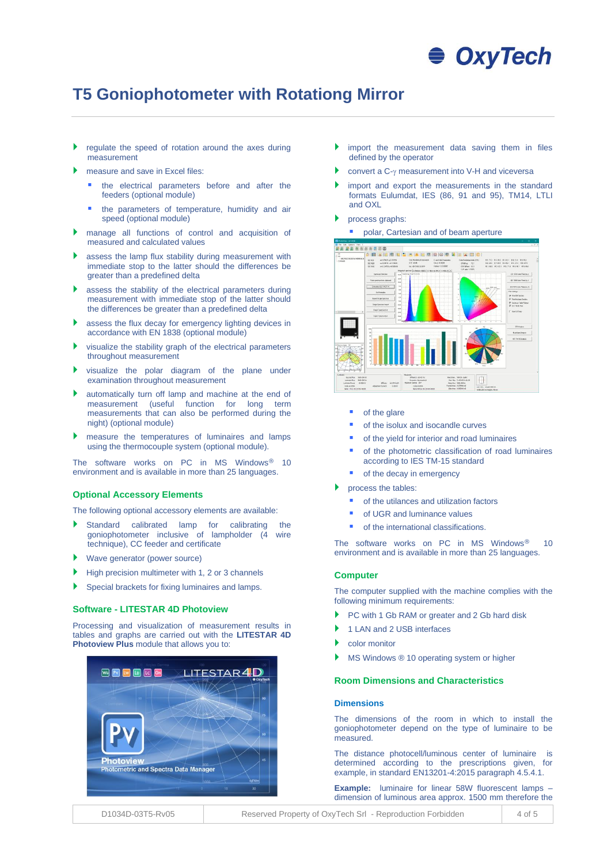# **OxyTech**

# **T5 Goniophotometer with Rotationg Mirror**

- regulate the speed of rotation around the axes during measurement
- measure and save in Excel files:
	- the electrical parameters before and after the feeders (optional module)
	- the parameters of temperature, humidity and air speed (optional module)
- manage all functions of control and acquisition of measured and calculated values
- assess the lamp flux stability during measurement with immediate stop to the latter should the differences be greater than a predefined delta
- assess the stability of the electrical parameters during measurement with immediate stop of the latter should the differences be greater than a predefined delta
- assess the flux decay for emergency lighting devices in accordance with EN 1838 (optional module)
- visualize the stability graph of the electrical parameters throughout measurement
- visualize the polar diagram of the plane under examination throughout measurement
- automatically turn off lamp and machine at the end of measurement (useful function for long term measurements that can also be performed during the night) (optional module)
- measure the temperatures of luminaires and lamps using the thermocouple system (optional module).

The software works on PC in MS Windows<sup>®</sup> 10 environment and is available in more than 25 languages.

#### **Optional Accessory Elements**

The following optional accessory elements are available:

- Standard calibrated lamp for calibrating the goniophotometer inclusive of lampholder (4 wire technique), CC feeder and certificate
- ▶ Wave generator (power source)
- $\blacktriangleright$  High precision multimeter with 1, 2 or 3 channels
- Special brackets for fixing luminaires and lamps.

#### **Software - LITESTAR 4D Photoview**

Processing and visualization of measurement results in tables and graphs are carried out with the **LITESTAR 4D Photoview Plus** module that allows you to:



- import the measurement data saving them in files defined by the operator
- convert a  $C-\gamma$  measurement into V-H and viceversa
- import and export the measurements in the standard formats Eulumdat, IES (86, 91 and 95), TM14, LTLI and OXL
- process graphs:

■ polar, Cartesian and of beam aperture



- of the glare
- of the isolux and isocandle curves
- of the yield for interior and road luminaires
- of the photometric classification of road luminaires according to IES TM-15 standard
- of the decay in emergency
- process the tables:
	- of the utilances and utilization factors
	- of UGR and luminance values
	- of the international classifications.

The software works on PC in MS Windows® 10 environment and is available in more than 25 languages.

#### **Computer**

The computer supplied with the machine complies with the following minimum requirements:

- PC with 1 Gb RAM or greater and 2 Gb hard disk
- ▶ 1 LAN and 2 USB interfaces
- color monitor
- MS Windows ® 10 operating system or higher

#### **Room Dimensions and Characteristics**

#### **Dimensions**

The dimensions of the room in which to install the goniophotometer depend on the type of luminaire to be measured.

The distance photocell/luminous center of luminaire is determined according to the prescriptions given, for example, in standard EN13201-4:2015 paragraph 4.5.4.1.

**Example:** luminaire for linear 58W fluorescent lamps – dimension of luminous area approx. 1500 mm therefore the